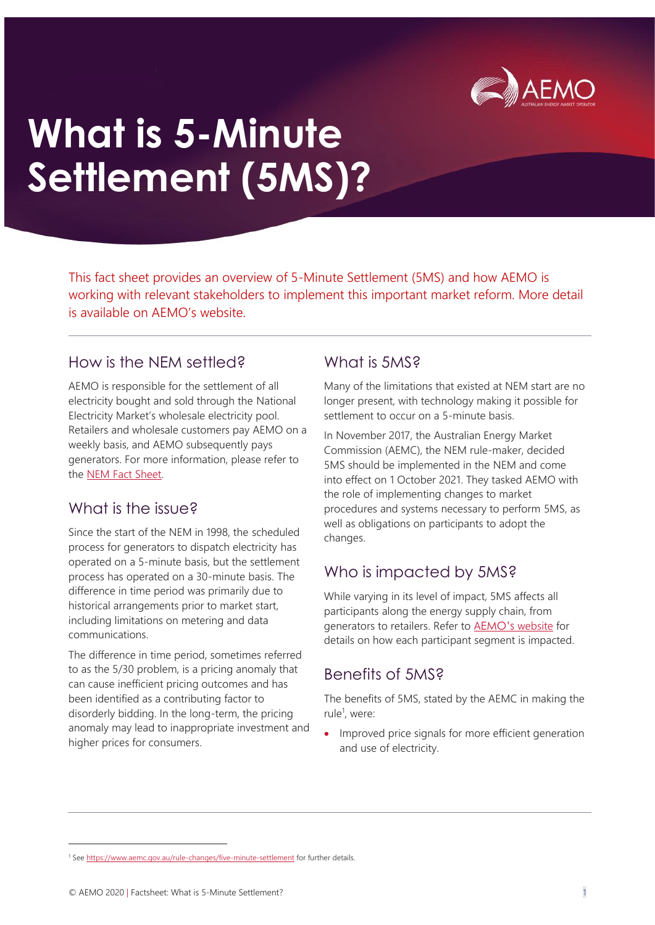

# **What is 5-Minute Settlement (5MS)?**

This fact sheet provides an overview of 5-Minute Settlement (5MS) and how AEMO is working with relevant stakeholders to implement this important market reform. More detail is available on AEMO's website.

### How is the NEM settled?

AEMO is responsible for the settlement of all electricity bought and sold through the National Electricity Market's wholesale electricity pool. Retailers and wholesale customers pay AEMO on a weekly basis, and AEMO subsequently pays generators. For more information, please refer to the [NEM Fact Sheet.](http://www.aemo.com.au/-/media/Files/Electricity/NEM/National-Electricity-Market-Fact-Sheet.pdf)

## What is the issue?

Since the start of the NEM in 1998, the scheduled process for generators to dispatch electricity has operated on a 5-minute basis, but the settlement process has operated on a 30-minute basis. The difference in time period was primarily due to historical arrangements prior to market start, including limitations on metering and data communications.

The difference in time period, sometimes referred to as the 5/30 problem, is a pricing anomaly that can cause inefficient pricing outcomes and has been identified as a contributing factor to disorderly bidding. In the long-term, the pricing anomaly may lead to inappropriate investment and higher prices for consumers.

## What is 5MS?

Many of the limitations that existed at NEM start are no longer present, with technology making it possible for settlement to occur on a 5-minute basis.

In November 2017, the Australian Energy Market Commission (AEMC), the NEM rule-maker, decided 5MS should be implemented in the NEM and come into effect on 1 October 2021. They tasked AEMO with the role of implementing changes to market procedures and systems necessary to perform 5MS, as well as obligations on participants to adopt the changes.

# Who is impacted by 5MS?

While varying in its level of impact, 5MS affects all participants along the energy supply chain, from generators to retailers. Refer to AEMO's [website](https://aemo.com.au/initiatives/major-programs/nem-five-minute-settlement-program-and-global-settlement/participant-toolbox/factsheets) for details on how each participant segment is impacted.

## Benefits of 5MS?

The benefits of 5MS, stated by the AEMC in making the rule<sup>1</sup>, were:

• Improved price signals for more efficient generation and use of electricity.

<sup>&</sup>lt;sup>1</sup> Se[e https://www.aemc.gov.au/rule-changes/five-minute-settlement](https://www.aemc.gov.au/rule-changes/five-minute-settlement) for further details.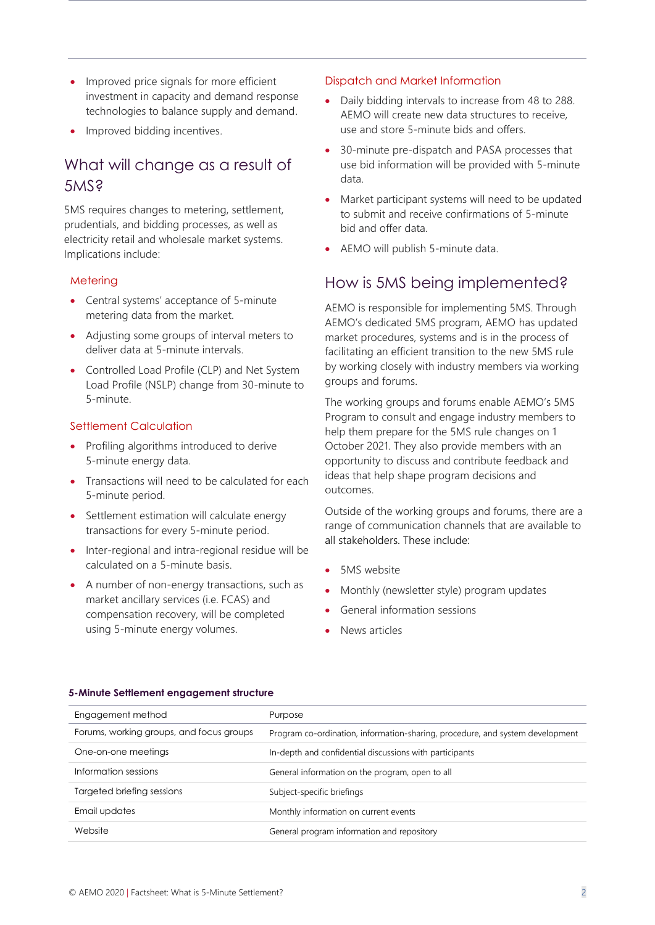- Improved price signals for more efficient investment in capacity and demand response technologies to balance supply and demand.
- Improved bidding incentives.

# What will change as a result of 5MS?

5MS requires changes to metering, settlement, prudentials, and bidding processes, as well as electricity retail and wholesale market systems. Implications include:

#### **Metering**

- Central systems' acceptance of 5-minute metering data from the market.
- Adjusting some groups of interval meters to deliver data at 5-minute intervals.
- Controlled Load Profile (CLP) and Net System Load Profile (NSLP) change from 30-minute to 5-minute.

#### Settlement Calculation

- Profiling algorithms introduced to derive 5-minute energy data.
- Transactions will need to be calculated for each 5-minute period.
- Settlement estimation will calculate energy transactions for every 5-minute period.
- Inter-regional and intra-regional residue will be calculated on a 5-minute basis.
- A number of non-energy transactions, such as market ancillary services (i.e. FCAS) and compensation recovery, will be completed using 5-minute energy volumes.

#### Dispatch and Market Information

- Daily bidding intervals to increase from 48 to 288. AEMO will create new data structures to receive, use and store 5-minute bids and offers.
- 30-minute pre-dispatch and PASA processes that use bid information will be provided with 5-minute data.
- Market participant systems will need to be updated to submit and receive confirmations of 5-minute bid and offer data.
- AEMO will publish 5-minute data.

## How is 5MS being implemented?

AEMO is responsible for implementing 5MS. Through AEMO's dedicated 5MS program, AEMO has updated market procedures, systems and is in the process of facilitating an efficient transition to the new 5MS rule by working closely with industry members via working groups and forums.

The working groups and forums enable AEMO's 5MS Program to consult and engage industry members to help them prepare for the 5MS rule changes on 1 October 2021. They also provide members with an opportunity to discuss and contribute feedback and ideas that help shape program decisions and outcomes.

Outside of the working groups and forums, there are a range of communication channels that are available to all stakeholders. These include:

- 5MS website
- Monthly (newsletter style) program updates
- General information sessions
- News articles

| Engagement method                        | Purpose                                                                       |
|------------------------------------------|-------------------------------------------------------------------------------|
| Forums, working groups, and focus groups | Program co-ordination, information-sharing, procedure, and system development |
| One-on-one meetings                      | In-depth and confidential discussions with participants                       |
| Information sessions                     | General information on the program, open to all                               |
| Targeted briefing sessions               | Subject-specific briefings                                                    |
| Email updates                            | Monthly information on current events                                         |
| Website                                  | General program information and repository                                    |

#### **5-Minute Settlement engagement structure**